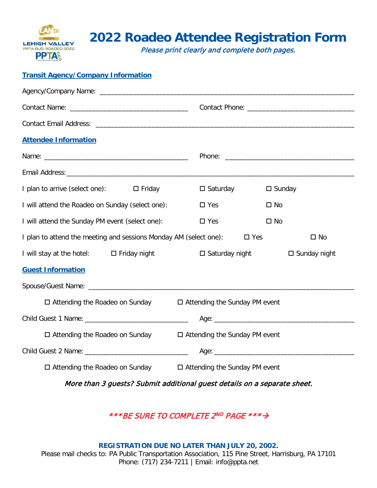

# **2022 Roadeo Attendee Registration Form**

Please print clearly and complete both pages.

### **Transit Agency/Company Information**

| <b>Attendee Information</b>                                                                        |                       |                        |  |  |  |
|----------------------------------------------------------------------------------------------------|-----------------------|------------------------|--|--|--|
|                                                                                                    |                       |                        |  |  |  |
|                                                                                                    |                       |                        |  |  |  |
| I plan to arrive (select one): $\Box$ Friday                                                       | $\square$ Saturday    | $\square$ Sunday       |  |  |  |
| I will attend the Roadeo on Sunday (select one):                                                   | $\square$ Yes         | $\square$ No           |  |  |  |
| I will attend the Sunday PM event (select one):                                                    | $\square$ Yes         | $\square$ No           |  |  |  |
| I plan to attend the meeting and sessions Monday AM (select one):<br>$\square$ Yes<br>$\square$ No |                       |                        |  |  |  |
| I will stay at the hotel: □ Friday night                                                           | $\Box$ Saturday night | $\square$ Sunday night |  |  |  |
| <b>Guest Information</b>                                                                           |                       |                        |  |  |  |
|                                                                                                    |                       |                        |  |  |  |
| $\Box$ Attending the Roadeo on Sunday $\Box$ Attending the Sunday PM event                         |                       |                        |  |  |  |
|                                                                                                    |                       |                        |  |  |  |
| □ Attending the Roadeo on Sunday<br>□ Attending the Sunday PM event                                |                       |                        |  |  |  |
|                                                                                                    |                       |                        |  |  |  |
| $\Box$ Attending the Roadeo on Sunday<br>$\Box$ Attending the Sunday PM event                      |                       |                        |  |  |  |

More than 3 guests? Submit additional guest details on a separate sheet.

\*\*\*BE SURE TO COMPLETE 2ND PAGE \*\*\* >

**REGISTRATION DUE NO LATER THAN JULY 20, 2002.** Please mail checks to: PA Public Transportation Association, 115 Pine Street, Harrisburg, PA 17101 Phone: (717) 234-7211 | Email: info@ppta.net